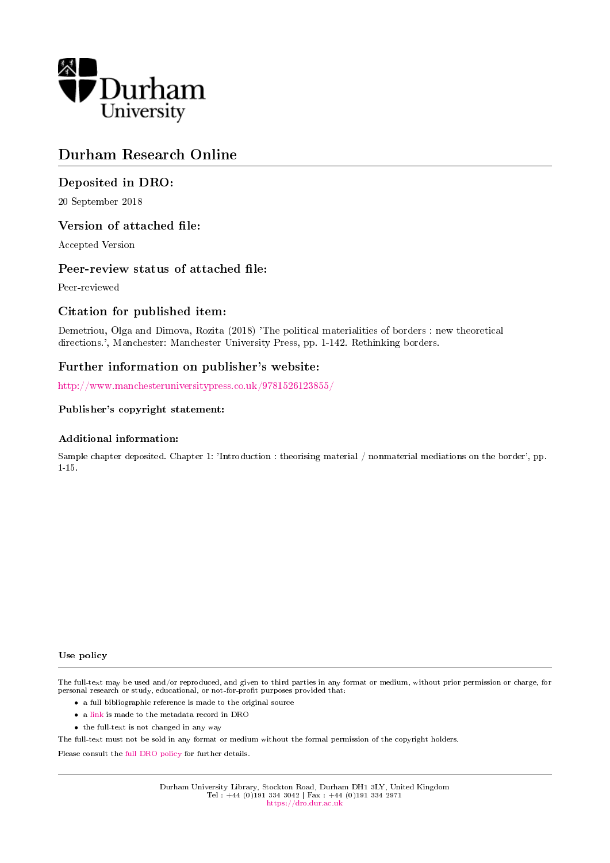

# Durham Research Online

## Deposited in DRO:

20 September 2018

### Version of attached file:

Accepted Version

### Peer-review status of attached file:

Peer-reviewed

### Citation for published item:

Demetriou, Olga and Dimova, Rozita (2018) 'The political materialities of borders : new theoretical directions.', Manchester: Manchester University Press, pp. 1-142. Rethinking borders.

## Further information on publisher's website:

<http://www.manchesteruniversitypress.co.uk/9781526123855/>

#### Publisher's copyright statement:

#### Additional information:

Sample chapter deposited. Chapter 1: 'Introduction : theorising material / nonmaterial mediations on the border', pp. 1-15.

#### Use policy

The full-text may be used and/or reproduced, and given to third parties in any format or medium, without prior permission or charge, for personal research or study, educational, or not-for-profit purposes provided that:

- a full bibliographic reference is made to the original source
- a [link](http://dro.dur.ac.uk/26287/) is made to the metadata record in DRO
- the full-text is not changed in any way

The full-text must not be sold in any format or medium without the formal permission of the copyright holders.

Please consult the [full DRO policy](https://dro.dur.ac.uk/policies/usepolicy.pdf) for further details.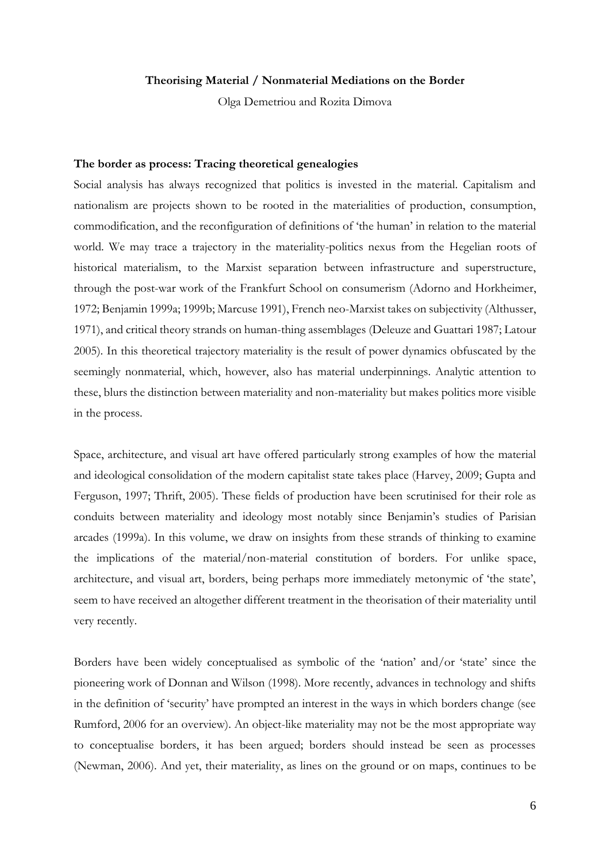#### **Theorising Material / Nonmaterial Mediations on the Border**

Olga Demetriou and Rozita Dimova

#### **The border as process: Tracing theoretical genealogies**

Social analysis has always recognized that politics is invested in the material. Capitalism and nationalism are projects shown to be rooted in the materialities of production, consumption, commodification, and the reconfiguration of definitions of 'the human' in relation to the material world. We may trace a trajectory in the materiality-politics nexus from the Hegelian roots of historical materialism, to the Marxist separation between infrastructure and superstructure, through the post-war work of the Frankfurt School on consumerism (Adorno and Horkheimer, 1972; Benjamin 1999a; 1999b; Marcuse 1991), French neo-Marxist takes on subjectivity (Althusser, 1971), and critical theory strands on human-thing assemblages (Deleuze and Guattari 1987; Latour 2005). In this theoretical trajectory materiality is the result of power dynamics obfuscated by the seemingly nonmaterial, which, however, also has material underpinnings. Analytic attention to these, blurs the distinction between materiality and non-materiality but makes politics more visible in the process.

Space, architecture, and visual art have offered particularly strong examples of how the material and ideological consolidation of the modern capitalist state takes place (Harvey, 2009; Gupta and Ferguson, 1997; Thrift, 2005). These fields of production have been scrutinised for their role as conduits between materiality and ideology most notably since Benjamin's studies of Parisian arcades (1999a). In this volume, we draw on insights from these strands of thinking to examine the implications of the material/non-material constitution of borders. For unlike space, architecture, and visual art, borders, being perhaps more immediately metonymic of 'the state', seem to have received an altogether different treatment in the theorisation of their materiality until very recently.

Borders have been widely conceptualised as symbolic of the 'nation' and/or 'state' since the pioneering work of Donnan and Wilson (1998). More recently, advances in technology and shifts in the definition of 'security' have prompted an interest in the ways in which borders change (see Rumford, 2006 for an overview). An object-like materiality may not be the most appropriate way to conceptualise borders, it has been argued; borders should instead be seen as processes (Newman, 2006). And yet, their materiality, as lines on the ground or on maps, continues to be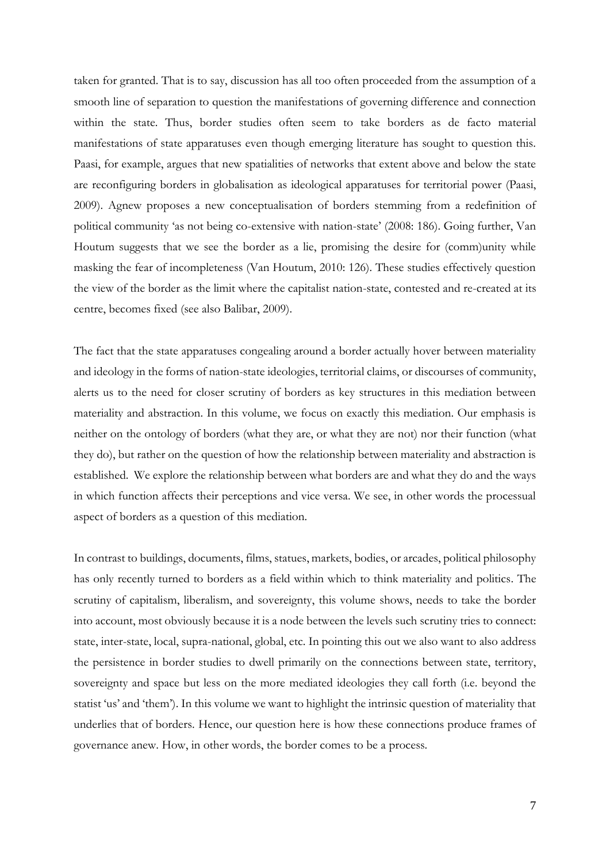taken for granted. That is to say, discussion has all too often proceeded from the assumption of a smooth line of separation to question the manifestations of governing difference and connection within the state. Thus, border studies often seem to take borders as de facto material manifestations of state apparatuses even though emerging literature has sought to question this. Paasi, for example, argues that new spatialities of networks that extent above and below the state are reconfiguring borders in globalisation as ideological apparatuses for territorial power (Paasi, 2009). Agnew proposes a new conceptualisation of borders stemming from a redefinition of political community 'as not being co-extensive with nation-state' (2008: 186). Going further, Van Houtum suggests that we see the border as a lie, promising the desire for (comm)unity while masking the fear of incompleteness (Van Houtum, 2010: 126). These studies effectively question the view of the border as the limit where the capitalist nation-state, contested and re-created at its centre, becomes fixed (see also Balibar, 2009).

The fact that the state apparatuses congealing around a border actually hover between materiality and ideology in the forms of nation-state ideologies, territorial claims, or discourses of community, alerts us to the need for closer scrutiny of borders as key structures in this mediation between materiality and abstraction. In this volume, we focus on exactly this mediation. Our emphasis is neither on the ontology of borders (what they are, or what they are not) nor their function (what they do), but rather on the question of how the relationship between materiality and abstraction is established. We explore the relationship between what borders are and what they do and the ways in which function affects their perceptions and vice versa. We see, in other words the processual aspect of borders as a question of this mediation.

In contrast to buildings, documents, films, statues, markets, bodies, or arcades, political philosophy has only recently turned to borders as a field within which to think materiality and politics. The scrutiny of capitalism, liberalism, and sovereignty, this volume shows, needs to take the border into account, most obviously because it is a node between the levels such scrutiny tries to connect: state, inter-state, local, supra-national, global, etc. In pointing this out we also want to also address the persistence in border studies to dwell primarily on the connections between state, territory, sovereignty and space but less on the more mediated ideologies they call forth (i.e. beyond the statist 'us' and 'them'). In this volume we want to highlight the intrinsic question of materiality that underlies that of borders. Hence, our question here is how these connections produce frames of governance anew. How, in other words, the border comes to be a process.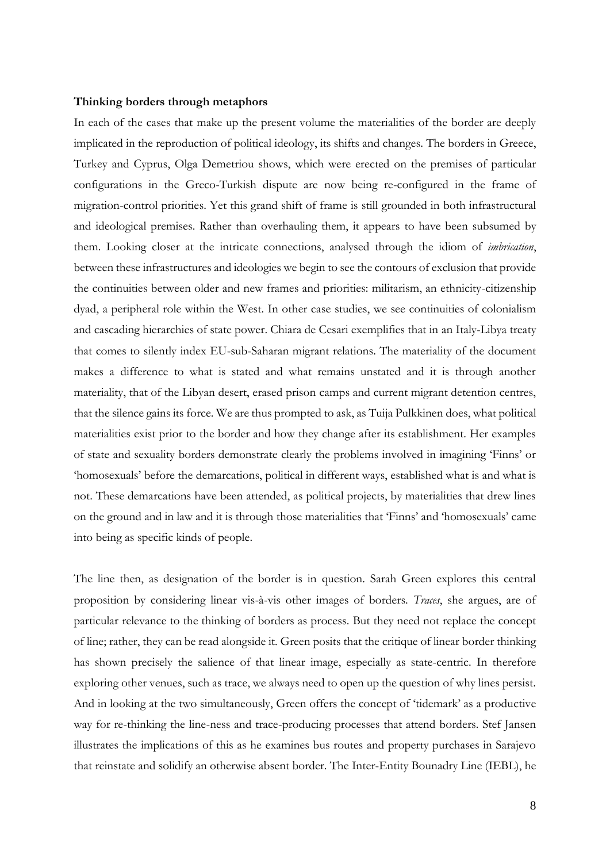#### **Thinking borders through metaphors**

In each of the cases that make up the present volume the materialities of the border are deeply implicated in the reproduction of political ideology, its shifts and changes. The borders in Greece, Turkey and Cyprus, Olga Demetriou shows, which were erected on the premises of particular configurations in the Greco-Turkish dispute are now being re-configured in the frame of migration-control priorities. Yet this grand shift of frame is still grounded in both infrastructural and ideological premises. Rather than overhauling them, it appears to have been subsumed by them. Looking closer at the intricate connections, analysed through the idiom of *imbrication*, between these infrastructures and ideologies we begin to see the contours of exclusion that provide the continuities between older and new frames and priorities: militarism, an ethnicity-citizenship dyad, a peripheral role within the West. In other case studies, we see continuities of colonialism and cascading hierarchies of state power. Chiara de Cesari exemplifies that in an Italy-Libya treaty that comes to silently index EU-sub-Saharan migrant relations. The materiality of the document makes a difference to what is stated and what remains unstated and it is through another materiality, that of the Libyan desert, erased prison camps and current migrant detention centres, that the silence gains its force. We are thus prompted to ask, as Tuija Pulkkinen does, what political materialities exist prior to the border and how they change after its establishment. Her examples of state and sexuality borders demonstrate clearly the problems involved in imagining 'Finns' or 'homosexuals' before the demarcations, political in different ways, established what is and what is not. These demarcations have been attended, as political projects, by materialities that drew lines on the ground and in law and it is through those materialities that 'Finns' and 'homosexuals' came into being as specific kinds of people.

The line then, as designation of the border is in question. Sarah Green explores this central proposition by considering linear vis-à-vis other images of borders. *Traces*, she argues, are of particular relevance to the thinking of borders as process. But they need not replace the concept of line; rather, they can be read alongside it. Green posits that the critique of linear border thinking has shown precisely the salience of that linear image, especially as state-centric. In therefore exploring other venues, such as trace, we always need to open up the question of why lines persist. And in looking at the two simultaneously, Green offers the concept of 'tidemark' as a productive way for re-thinking the line-ness and trace-producing processes that attend borders. Stef Jansen illustrates the implications of this as he examines bus routes and property purchases in Sarajevo that reinstate and solidify an otherwise absent border. The Inter-Entity Bounadry Line (IEBL), he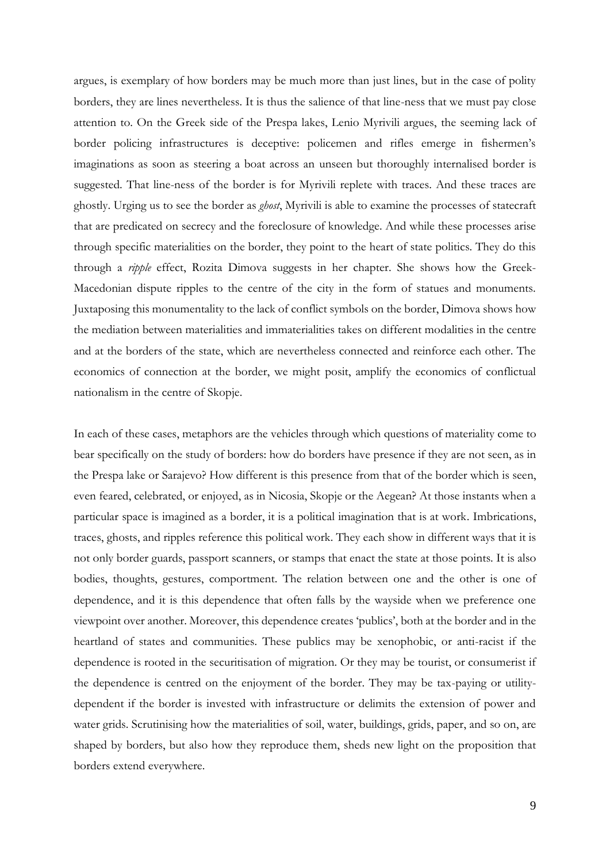argues, is exemplary of how borders may be much more than just lines, but in the case of polity borders, they are lines nevertheless. It is thus the salience of that line-ness that we must pay close attention to. On the Greek side of the Prespa lakes, Lenio Myrivili argues, the seeming lack of border policing infrastructures is deceptive: policemen and rifles emerge in fishermen's imaginations as soon as steering a boat across an unseen but thoroughly internalised border is suggested. That line-ness of the border is for Myrivili replete with traces. And these traces are ghostly. Urging us to see the border as *ghost*, Myrivili is able to examine the processes of statecraft that are predicated on secrecy and the foreclosure of knowledge. And while these processes arise through specific materialities on the border, they point to the heart of state politics. They do this through a *ripple* effect, Rozita Dimova suggests in her chapter. She shows how the Greek-Macedonian dispute ripples to the centre of the city in the form of statues and monuments. Juxtaposing this monumentality to the lack of conflict symbols on the border, Dimova shows how the mediation between materialities and immaterialities takes on different modalities in the centre and at the borders of the state, which are nevertheless connected and reinforce each other. The economics of connection at the border, we might posit, amplify the economics of conflictual nationalism in the centre of Skopje.

In each of these cases, metaphors are the vehicles through which questions of materiality come to bear specifically on the study of borders: how do borders have presence if they are not seen, as in the Prespa lake or Sarajevo? How different is this presence from that of the border which is seen, even feared, celebrated, or enjoyed, as in Nicosia, Skopje or the Aegean? At those instants when a particular space is imagined as a border, it is a political imagination that is at work. Imbrications, traces, ghosts, and ripples reference this political work. They each show in different ways that it is not only border guards, passport scanners, or stamps that enact the state at those points. It is also bodies, thoughts, gestures, comportment. The relation between one and the other is one of dependence, and it is this dependence that often falls by the wayside when we preference one viewpoint over another. Moreover, this dependence creates 'publics', both at the border and in the heartland of states and communities. These publics may be xenophobic, or anti-racist if the dependence is rooted in the securitisation of migration. Or they may be tourist, or consumerist if the dependence is centred on the enjoyment of the border. They may be tax-paying or utilitydependent if the border is invested with infrastructure or delimits the extension of power and water grids. Scrutinising how the materialities of soil, water, buildings, grids, paper, and so on, are shaped by borders, but also how they reproduce them, sheds new light on the proposition that borders extend everywhere.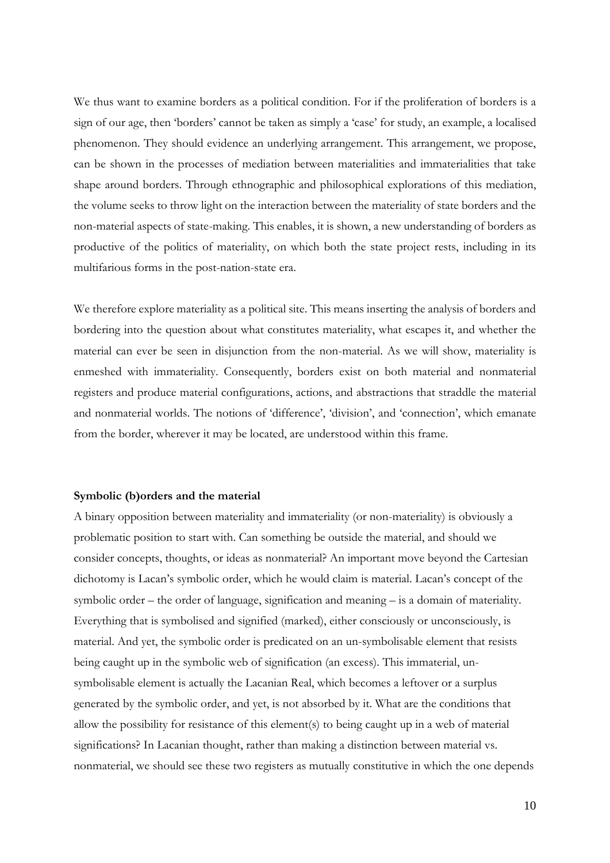We thus want to examine borders as a political condition. For if the proliferation of borders is a sign of our age, then 'borders' cannot be taken as simply a 'case' for study, an example, a localised phenomenon. They should evidence an underlying arrangement. This arrangement, we propose, can be shown in the processes of mediation between materialities and immaterialities that take shape around borders. Through ethnographic and philosophical explorations of this mediation, the volume seeks to throw light on the interaction between the materiality of state borders and the non-material aspects of state-making. This enables, it is shown, a new understanding of borders as productive of the politics of materiality, on which both the state project rests, including in its multifarious forms in the post-nation-state era.

We therefore explore materiality as a political site. This means inserting the analysis of borders and bordering into the question about what constitutes materiality, what escapes it, and whether the material can ever be seen in disjunction from the non-material. As we will show, materiality is enmeshed with immateriality. Consequently, borders exist on both material and nonmaterial registers and produce material configurations, actions, and abstractions that straddle the material and nonmaterial worlds. The notions of 'difference', 'division', and 'connection', which emanate from the border, wherever it may be located, are understood within this frame.

#### **Symbolic (b)orders and the material**

A binary opposition between materiality and immateriality (or non-materiality) is obviously a problematic position to start with. Can something be outside the material, and should we consider concepts, thoughts, or ideas as nonmaterial? An important move beyond the Cartesian dichotomy is Lacan's symbolic order, which he would claim is material. Lacan's concept of the symbolic order – the order of language, signification and meaning – is a domain of materiality. Everything that is symbolised and signified (marked), either consciously or unconsciously, is material. And yet, the symbolic order is predicated on an un-symbolisable element that resists being caught up in the symbolic web of signification (an excess). This immaterial, unsymbolisable element is actually the Lacanian Real, which becomes a leftover or a surplus generated by the symbolic order, and yet, is not absorbed by it. What are the conditions that allow the possibility for resistance of this element(s) to being caught up in a web of material significations? In Lacanian thought, rather than making a distinction between material vs. nonmaterial, we should see these two registers as mutually constitutive in which the one depends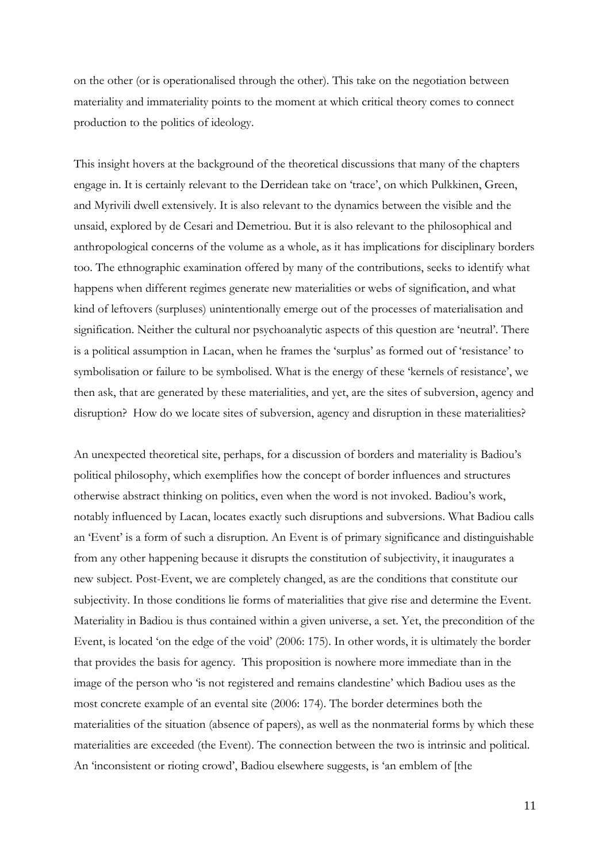on the other (or is operationalised through the other). This take on the negotiation between materiality and immateriality points to the moment at which critical theory comes to connect production to the politics of ideology.

This insight hovers at the background of the theoretical discussions that many of the chapters engage in. It is certainly relevant to the Derridean take on 'trace', on which Pulkkinen, Green, and Myrivili dwell extensively. It is also relevant to the dynamics between the visible and the unsaid, explored by de Cesari and Demetriou. But it is also relevant to the philosophical and anthropological concerns of the volume as a whole, as it has implications for disciplinary borders too. The ethnographic examination offered by many of the contributions, seeks to identify what happens when different regimes generate new materialities or webs of signification, and what kind of leftovers (surpluses) unintentionally emerge out of the processes of materialisation and signification. Neither the cultural nor psychoanalytic aspects of this question are 'neutral'. There is a political assumption in Lacan, when he frames the 'surplus' as formed out of 'resistance' to symbolisation or failure to be symbolised. What is the energy of these 'kernels of resistance', we then ask, that are generated by these materialities, and yet, are the sites of subversion, agency and disruption? How do we locate sites of subversion, agency and disruption in these materialities?

An unexpected theoretical site, perhaps, for a discussion of borders and materiality is Badiou's political philosophy, which exemplifies how the concept of border influences and structures otherwise abstract thinking on politics, even when the word is not invoked. Badiou's work, notably influenced by Lacan, locates exactly such disruptions and subversions. What Badiou calls an 'Event' is a form of such a disruption. An Event is of primary significance and distinguishable from any other happening because it disrupts the constitution of subjectivity, it inaugurates a new subject. Post-Event, we are completely changed, as are the conditions that constitute our subjectivity. In those conditions lie forms of materialities that give rise and determine the Event. Materiality in Badiou is thus contained within a given universe, a set. Yet, the precondition of the Event, is located 'on the edge of the void' (2006: 175). In other words, it is ultimately the border that provides the basis for agency. This proposition is nowhere more immediate than in the image of the person who 'is not registered and remains clandestine' which Badiou uses as the most concrete example of an evental site (2006: 174). The border determines both the materialities of the situation (absence of papers), as well as the nonmaterial forms by which these materialities are exceeded (the Event). The connection between the two is intrinsic and political. An 'inconsistent or rioting crowd', Badiou elsewhere suggests, is 'an emblem of [the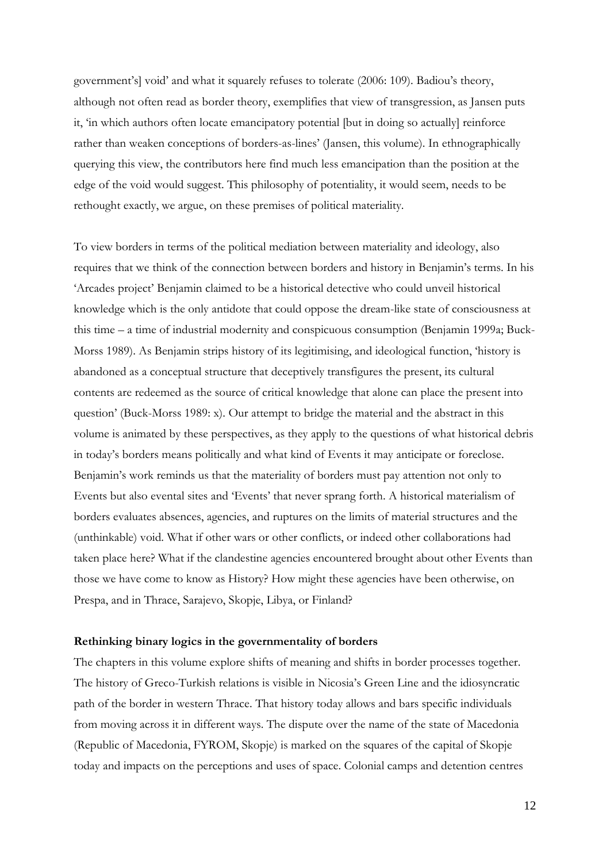government's] void' and what it squarely refuses to tolerate (2006: 109). Badiou's theory, although not often read as border theory, exemplifies that view of transgression, as Jansen puts it, 'in which authors often locate emancipatory potential [but in doing so actually] reinforce rather than weaken conceptions of borders-as-lines' (Jansen, this volume). In ethnographically querying this view, the contributors here find much less emancipation than the position at the edge of the void would suggest. This philosophy of potentiality, it would seem, needs to be rethought exactly, we argue, on these premises of political materiality.

To view borders in terms of the political mediation between materiality and ideology, also requires that we think of the connection between borders and history in Benjamin's terms. In his 'Arcades project' Benjamin claimed to be a historical detective who could unveil historical knowledge which is the only antidote that could oppose the dream-like state of consciousness at this time – a time of industrial modernity and conspicuous consumption (Benjamin 1999a; Buck-Morss 1989). As Benjamin strips history of its legitimising, and ideological function, 'history is abandoned as a conceptual structure that deceptively transfigures the present, its cultural contents are redeemed as the source of critical knowledge that alone can place the present into question' (Buck-Morss 1989: x). Our attempt to bridge the material and the abstract in this volume is animated by these perspectives, as they apply to the questions of what historical debris in today's borders means politically and what kind of Events it may anticipate or foreclose. Benjamin's work reminds us that the materiality of borders must pay attention not only to Events but also evental sites and 'Events' that never sprang forth. A historical materialism of borders evaluates absences, agencies, and ruptures on the limits of material structures and the (unthinkable) void. What if other wars or other conflicts, or indeed other collaborations had taken place here? What if the clandestine agencies encountered brought about other Events than those we have come to know as History? How might these agencies have been otherwise, on Prespa, and in Thrace, Sarajevo, Skopje, Libya, or Finland?

#### **Rethinking binary logics in the governmentality of borders**

The chapters in this volume explore shifts of meaning and shifts in border processes together. The history of Greco-Turkish relations is visible in Nicosia's Green Line and the idiosyncratic path of the border in western Thrace. That history today allows and bars specific individuals from moving across it in different ways. The dispute over the name of the state of Macedonia (Republic of Macedonia, FYROM, Skopje) is marked on the squares of the capital of Skopje today and impacts on the perceptions and uses of space. Colonial camps and detention centres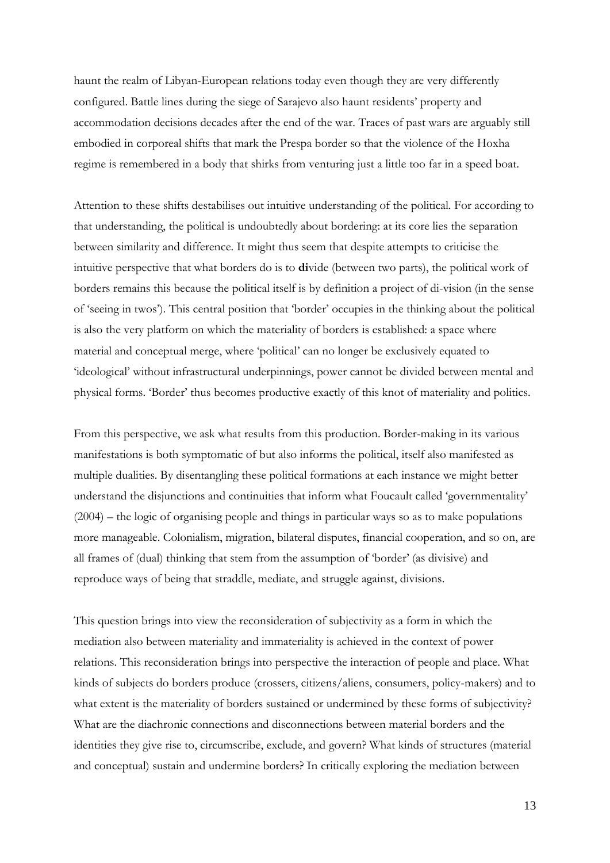haunt the realm of Libyan-European relations today even though they are very differently configured. Battle lines during the siege of Sarajevo also haunt residents' property and accommodation decisions decades after the end of the war. Traces of past wars are arguably still embodied in corporeal shifts that mark the Prespa border so that the violence of the Hoxha regime is remembered in a body that shirks from venturing just a little too far in a speed boat.

Attention to these shifts destabilises out intuitive understanding of the political. For according to that understanding, the political is undoubtedly about bordering: at its core lies the separation between similarity and difference. It might thus seem that despite attempts to criticise the intuitive perspective that what borders do is to **di**vide (between two parts), the political work of borders remains this because the political itself is by definition a project of di-vision (in the sense of 'seeing in twos'). This central position that 'border' occupies in the thinking about the political is also the very platform on which the materiality of borders is established: a space where material and conceptual merge, where 'political' can no longer be exclusively equated to 'ideological' without infrastructural underpinnings, power cannot be divided between mental and physical forms. 'Border' thus becomes productive exactly of this knot of materiality and politics.

From this perspective, we ask what results from this production. Border-making in its various manifestations is both symptomatic of but also informs the political, itself also manifested as multiple dualities. By disentangling these political formations at each instance we might better understand the disjunctions and continuities that inform what Foucault called 'governmentality' (2004) – the logic of organising people and things in particular ways so as to make populations more manageable. Colonialism, migration, bilateral disputes, financial cooperation, and so on, are all frames of (dual) thinking that stem from the assumption of 'border' (as divisive) and reproduce ways of being that straddle, mediate, and struggle against, divisions.

This question brings into view the reconsideration of subjectivity as a form in which the mediation also between materiality and immateriality is achieved in the context of power relations. This reconsideration brings into perspective the interaction of people and place. What kinds of subjects do borders produce (crossers, citizens/aliens, consumers, policy-makers) and to what extent is the materiality of borders sustained or undermined by these forms of subjectivity? What are the diachronic connections and disconnections between material borders and the identities they give rise to, circumscribe, exclude, and govern? What kinds of structures (material and conceptual) sustain and undermine borders? In critically exploring the mediation between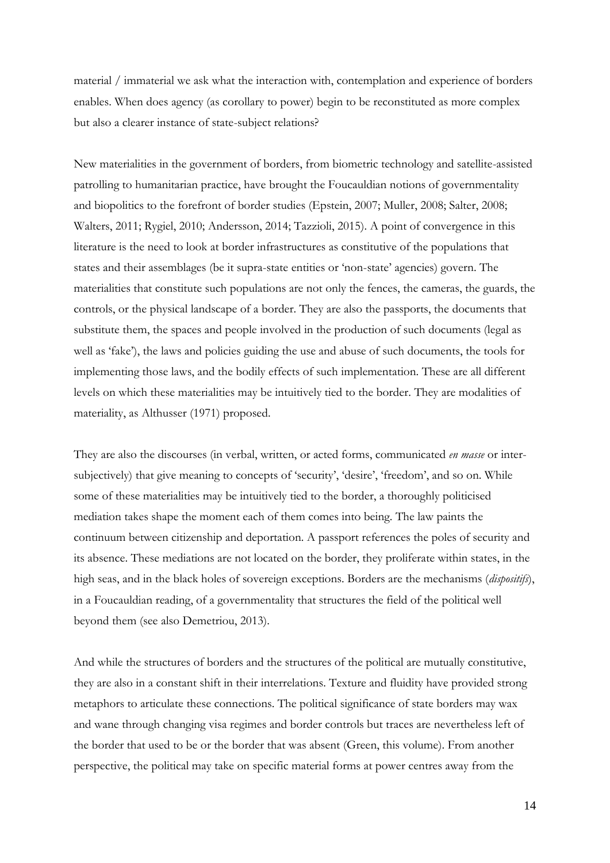material / immaterial we ask what the interaction with, contemplation and experience of borders enables. When does agency (as corollary to power) begin to be reconstituted as more complex but also a clearer instance of state-subject relations?

New materialities in the government of borders, from biometric technology and satellite-assisted patrolling to humanitarian practice, have brought the Foucauldian notions of governmentality and biopolitics to the forefront of border studies (Epstein, 2007; Muller, 2008; Salter, 2008; Walters, 2011; Rygiel, 2010; Andersson, 2014; Tazzioli, 2015). A point of convergence in this literature is the need to look at border infrastructures as constitutive of the populations that states and their assemblages (be it supra-state entities or 'non-state' agencies) govern. The materialities that constitute such populations are not only the fences, the cameras, the guards, the controls, or the physical landscape of a border. They are also the passports, the documents that substitute them, the spaces and people involved in the production of such documents (legal as well as 'fake'), the laws and policies guiding the use and abuse of such documents, the tools for implementing those laws, and the bodily effects of such implementation. These are all different levels on which these materialities may be intuitively tied to the border. They are modalities of materiality, as Althusser (1971) proposed.

They are also the discourses (in verbal, written, or acted forms, communicated *en masse* or intersubjectively) that give meaning to concepts of 'security', 'desire', 'freedom', and so on. While some of these materialities may be intuitively tied to the border, a thoroughly politicised mediation takes shape the moment each of them comes into being. The law paints the continuum between citizenship and deportation. A passport references the poles of security and its absence. These mediations are not located on the border, they proliferate within states, in the high seas, and in the black holes of sovereign exceptions. Borders are the mechanisms (*dispositifs*), in a Foucauldian reading, of a governmentality that structures the field of the political well beyond them (see also Demetriou, 2013).

And while the structures of borders and the structures of the political are mutually constitutive, they are also in a constant shift in their interrelations. Texture and fluidity have provided strong metaphors to articulate these connections. The political significance of state borders may wax and wane through changing visa regimes and border controls but traces are nevertheless left of the border that used to be or the border that was absent (Green, this volume). From another perspective, the political may take on specific material forms at power centres away from the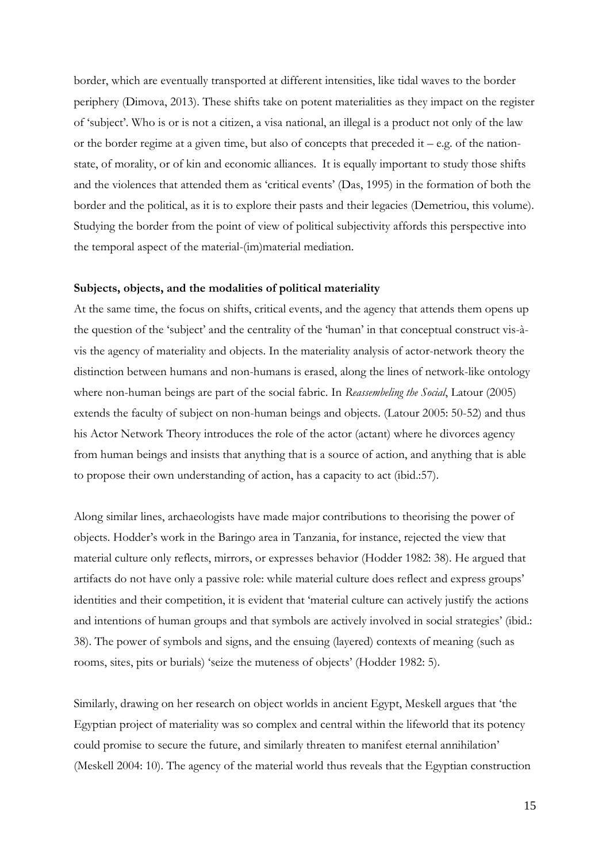border, which are eventually transported at different intensities, like tidal waves to the border periphery (Dimova, 2013). These shifts take on potent materialities as they impact on the register of 'subject'. Who is or is not a citizen, a visa national, an illegal is a product not only of the law or the border regime at a given time, but also of concepts that preceded it – e.g. of the nationstate, of morality, or of kin and economic alliances. It is equally important to study those shifts and the violences that attended them as 'critical events' (Das, 1995) in the formation of both the border and the political, as it is to explore their pasts and their legacies (Demetriou, this volume). Studying the border from the point of view of political subjectivity affords this perspective into the temporal aspect of the material-(im)material mediation.

### **Subjects, objects, and the modalities of political materiality**

At the same time, the focus on shifts, critical events, and the agency that attends them opens up the question of the 'subject' and the centrality of the 'human' in that conceptual construct vis-àvis the agency of materiality and objects. In the materiality analysis of actor-network theory the distinction between humans and non-humans is erased, along the lines of network-like ontology where non-human beings are part of the social fabric. In *Reassembeling the Social*, Latour (2005) extends the faculty of subject on non-human beings and objects. (Latour 2005: 50-52) and thus his Actor Network Theory introduces the role of the actor (actant) where he divorces agency from human beings and insists that anything that is a source of action, and anything that is able to propose their own understanding of action, has a capacity to act (ibid.:57).

Along similar lines, archaeologists have made major contributions to theorising the power of objects. Hodder's work in the Baringo area in Tanzania, for instance, rejected the view that material culture only reflects, mirrors, or expresses behavior (Hodder 1982: 38). He argued that artifacts do not have only a passive role: while material culture does reflect and express groups' identities and their competition, it is evident that 'material culture can actively justify the actions and intentions of human groups and that symbols are actively involved in social strategies' (ibid.: 38). The power of symbols and signs, and the ensuing (layered) contexts of meaning (such as rooms, sites, pits or burials) 'seize the muteness of objects' (Hodder 1982: 5).

Similarly, drawing on her research on object worlds in ancient Egypt, Meskell argues that 'the Egyptian project of materiality was so complex and central within the lifeworld that its potency could promise to secure the future, and similarly threaten to manifest eternal annihilation' (Meskell 2004: 10). The agency of the material world thus reveals that the Egyptian construction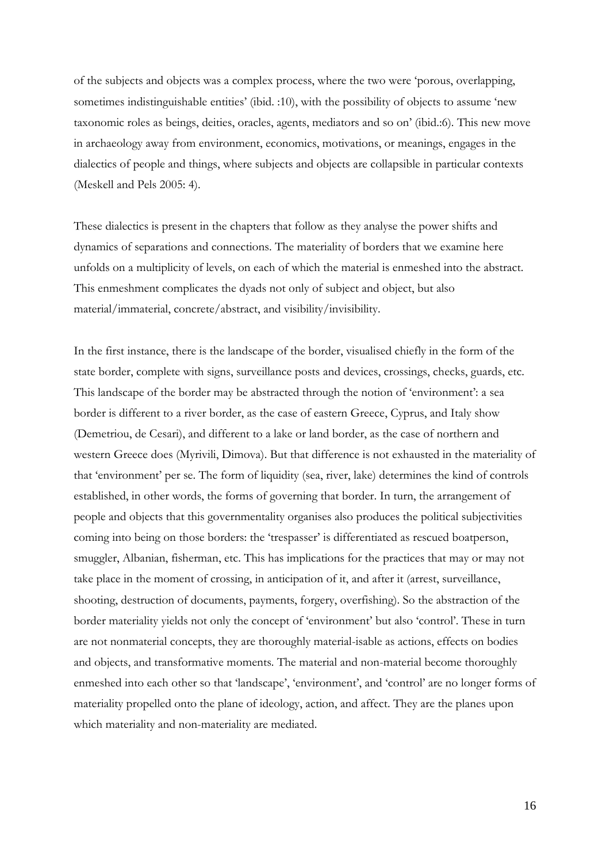of the subjects and objects was a complex process, where the two were 'porous, overlapping, sometimes indistinguishable entities' (ibid. :10), with the possibility of objects to assume 'new taxonomic roles as beings, deities, oracles, agents, mediators and so on' (ibid.:6). This new move in archaeology away from environment, economics, motivations, or meanings, engages in the dialectics of people and things, where subjects and objects are collapsible in particular contexts (Meskell and Pels 2005: 4).

These dialectics is present in the chapters that follow as they analyse the power shifts and dynamics of separations and connections. The materiality of borders that we examine here unfolds on a multiplicity of levels, on each of which the material is enmeshed into the abstract. This enmeshment complicates the dyads not only of subject and object, but also material/immaterial, concrete/abstract, and visibility/invisibility.

In the first instance, there is the landscape of the border, visualised chiefly in the form of the state border, complete with signs, surveillance posts and devices, crossings, checks, guards, etc. This landscape of the border may be abstracted through the notion of 'environment': a sea border is different to a river border, as the case of eastern Greece, Cyprus, and Italy show (Demetriou, de Cesari), and different to a lake or land border, as the case of northern and western Greece does (Myrivili, Dimova). But that difference is not exhausted in the materiality of that 'environment' per se. The form of liquidity (sea, river, lake) determines the kind of controls established, in other words, the forms of governing that border. In turn, the arrangement of people and objects that this governmentality organises also produces the political subjectivities coming into being on those borders: the 'trespasser' is differentiated as rescued boatperson, smuggler, Albanian, fisherman, etc. This has implications for the practices that may or may not take place in the moment of crossing, in anticipation of it, and after it (arrest, surveillance, shooting, destruction of documents, payments, forgery, overfishing). So the abstraction of the border materiality yields not only the concept of 'environment' but also 'control'. These in turn are not nonmaterial concepts, they are thoroughly material-isable as actions, effects on bodies and objects, and transformative moments. The material and non-material become thoroughly enmeshed into each other so that 'landscape', 'environment', and 'control' are no longer forms of materiality propelled onto the plane of ideology, action, and affect. They are the planes upon which materiality and non-materiality are mediated.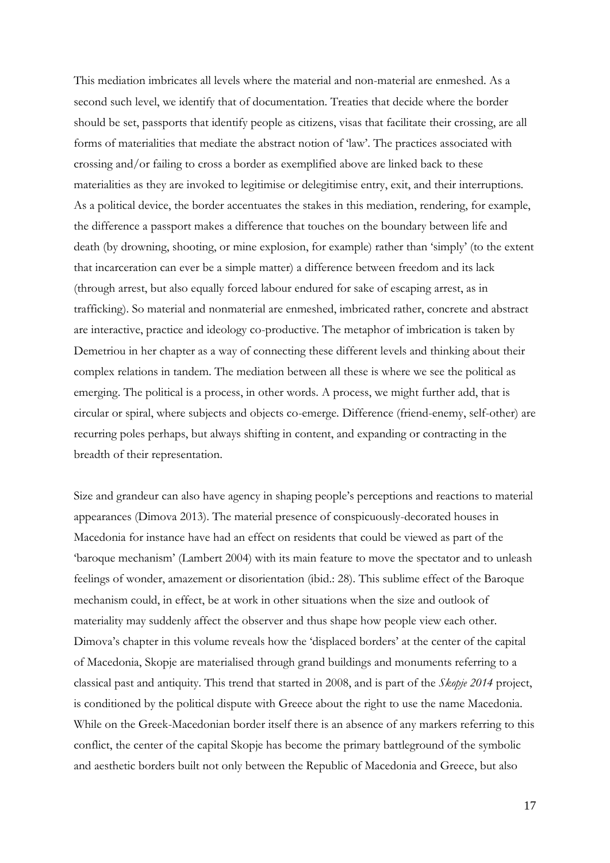This mediation imbricates all levels where the material and non-material are enmeshed. As a second such level, we identify that of documentation. Treaties that decide where the border should be set, passports that identify people as citizens, visas that facilitate their crossing, are all forms of materialities that mediate the abstract notion of 'law'. The practices associated with crossing and/or failing to cross a border as exemplified above are linked back to these materialities as they are invoked to legitimise or delegitimise entry, exit, and their interruptions. As a political device, the border accentuates the stakes in this mediation, rendering, for example, the difference a passport makes a difference that touches on the boundary between life and death (by drowning, shooting, or mine explosion, for example) rather than 'simply' (to the extent that incarceration can ever be a simple matter) a difference between freedom and its lack (through arrest, but also equally forced labour endured for sake of escaping arrest, as in trafficking). So material and nonmaterial are enmeshed, imbricated rather, concrete and abstract are interactive, practice and ideology co-productive. The metaphor of imbrication is taken by Demetriou in her chapter as a way of connecting these different levels and thinking about their complex relations in tandem. The mediation between all these is where we see the political as emerging. The political is a process, in other words. A process, we might further add, that is circular or spiral, where subjects and objects co-emerge. Difference (friend-enemy, self-other) are recurring poles perhaps, but always shifting in content, and expanding or contracting in the breadth of their representation.

Size and grandeur can also have agency in shaping people's perceptions and reactions to material appearances (Dimova 2013). The material presence of conspicuously-decorated houses in Macedonia for instance have had an effect on residents that could be viewed as part of the 'baroque mechanism' (Lambert 2004) with its main feature to move the spectator and to unleash feelings of wonder, amazement or disorientation (ibid.: 28). This sublime effect of the Baroque mechanism could, in effect, be at work in other situations when the size and outlook of materiality may suddenly affect the observer and thus shape how people view each other. Dimova's chapter in this volume reveals how the 'displaced borders' at the center of the capital of Macedonia, Skopje are materialised through grand buildings and monuments referring to a classical past and antiquity. This trend that started in 2008, and is part of the *Skopje 2014* project, is conditioned by the political dispute with Greece about the right to use the name Macedonia. While on the Greek-Macedonian border itself there is an absence of any markers referring to this conflict, the center of the capital Skopje has become the primary battleground of the symbolic and aesthetic borders built not only between the Republic of Macedonia and Greece, but also

17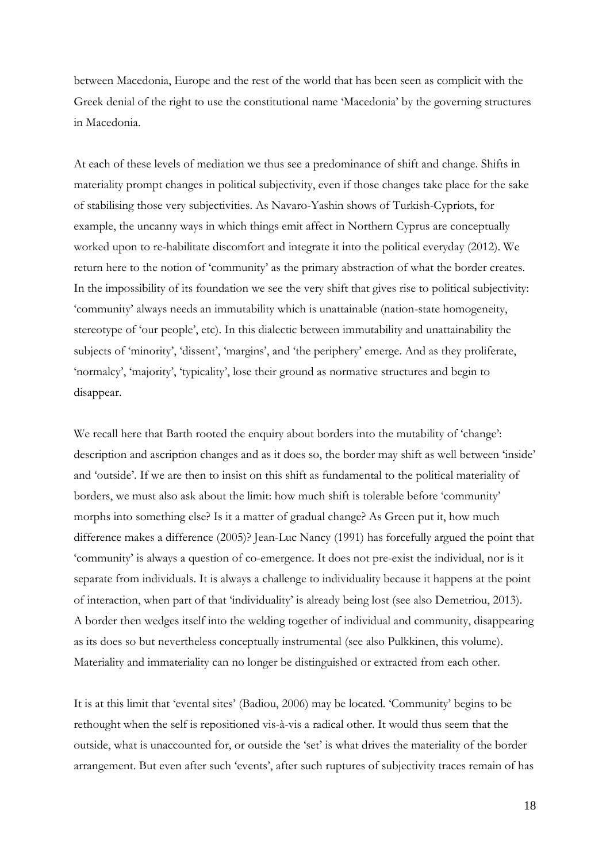between Macedonia, Europe and the rest of the world that has been seen as complicit with the Greek denial of the right to use the constitutional name 'Macedonia' by the governing structures in Macedonia.

At each of these levels of mediation we thus see a predominance of shift and change. Shifts in materiality prompt changes in political subjectivity, even if those changes take place for the sake of stabilising those very subjectivities. As Navaro-Yashin shows of Turkish-Cypriots, for example, the uncanny ways in which things emit affect in Northern Cyprus are conceptually worked upon to re-habilitate discomfort and integrate it into the political everyday (2012). We return here to the notion of 'community' as the primary abstraction of what the border creates. In the impossibility of its foundation we see the very shift that gives rise to political subjectivity: 'community' always needs an immutability which is unattainable (nation-state homogeneity, stereotype of 'our people', etc). In this dialectic between immutability and unattainability the subjects of 'minority', 'dissent', 'margins', and 'the periphery' emerge. And as they proliferate, 'normalcy', 'majority', 'typicality', lose their ground as normative structures and begin to disappear.

We recall here that Barth rooted the enquiry about borders into the mutability of 'change': description and ascription changes and as it does so, the border may shift as well between 'inside' and 'outside'. If we are then to insist on this shift as fundamental to the political materiality of borders, we must also ask about the limit: how much shift is tolerable before 'community' morphs into something else? Is it a matter of gradual change? As Green put it, how much difference makes a difference (2005)? Jean-Luc Nancy (1991) has forcefully argued the point that 'community' is always a question of co-emergence. It does not pre-exist the individual, nor is it separate from individuals. It is always a challenge to individuality because it happens at the point of interaction, when part of that 'individuality' is already being lost (see also Demetriou, 2013). A border then wedges itself into the welding together of individual and community, disappearing as its does so but nevertheless conceptually instrumental (see also Pulkkinen, this volume). Materiality and immateriality can no longer be distinguished or extracted from each other.

It is at this limit that 'evental sites' (Badiou, 2006) may be located. 'Community' begins to be rethought when the self is repositioned vis-à-vis a radical other. It would thus seem that the outside, what is unaccounted for, or outside the 'set' is what drives the materiality of the border arrangement. But even after such 'events', after such ruptures of subjectivity traces remain of has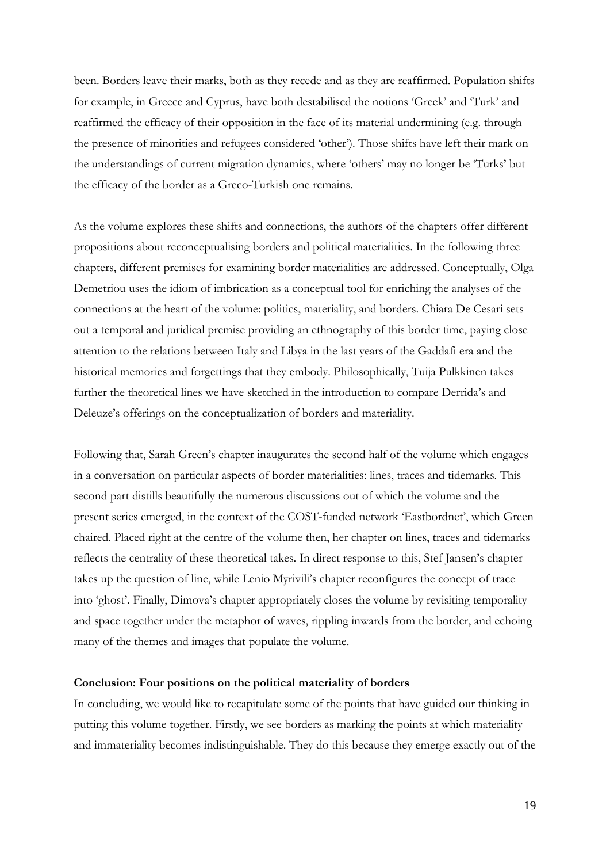been. Borders leave their marks, both as they recede and as they are reaffirmed. Population shifts for example, in Greece and Cyprus, have both destabilised the notions 'Greek' and 'Turk' and reaffirmed the efficacy of their opposition in the face of its material undermining (e.g. through the presence of minorities and refugees considered 'other'). Those shifts have left their mark on the understandings of current migration dynamics, where 'others' may no longer be 'Turks' but the efficacy of the border as a Greco-Turkish one remains.

As the volume explores these shifts and connections, the authors of the chapters offer different propositions about reconceptualising borders and political materialities. In the following three chapters, different premises for examining border materialities are addressed. Conceptually, Olga Demetriou uses the idiom of imbrication as a conceptual tool for enriching the analyses of the connections at the heart of the volume: politics, materiality, and borders. Chiara De Cesari sets out a temporal and juridical premise providing an ethnography of this border time, paying close attention to the relations between Italy and Libya in the last years of the Gaddafi era and the historical memories and forgettings that they embody. Philosophically, Tuija Pulkkinen takes further the theoretical lines we have sketched in the introduction to compare Derrida's and Deleuze's offerings on the conceptualization of borders and materiality.

Following that, Sarah Green's chapter inaugurates the second half of the volume which engages in a conversation on particular aspects of border materialities: lines, traces and tidemarks. This second part distills beautifully the numerous discussions out of which the volume and the present series emerged, in the context of the COST-funded network 'Eastbordnet', which Green chaired. Placed right at the centre of the volume then, her chapter on lines, traces and tidemarks reflects the centrality of these theoretical takes. In direct response to this, Stef Jansen's chapter takes up the question of line, while Lenio Myrivili's chapter reconfigures the concept of trace into 'ghost'. Finally, Dimova's chapter appropriately closes the volume by revisiting temporality and space together under the metaphor of waves, rippling inwards from the border, and echoing many of the themes and images that populate the volume.

#### **Conclusion: Four positions on the political materiality of borders**

In concluding, we would like to recapitulate some of the points that have guided our thinking in putting this volume together. Firstly, we see borders as marking the points at which materiality and immateriality becomes indistinguishable. They do this because they emerge exactly out of the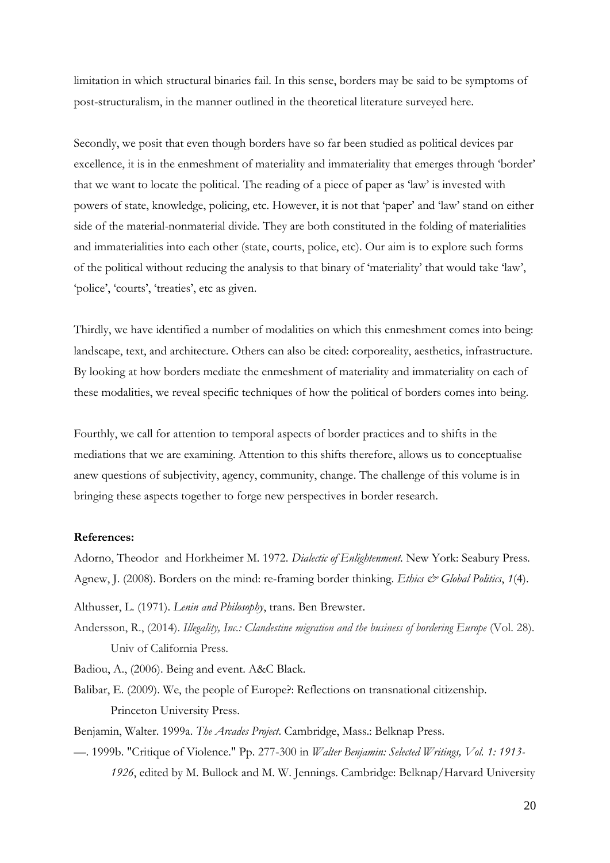limitation in which structural binaries fail. In this sense, borders may be said to be symptoms of post-structuralism, in the manner outlined in the theoretical literature surveyed here.

Secondly, we posit that even though borders have so far been studied as political devices par excellence, it is in the enmeshment of materiality and immateriality that emerges through 'border' that we want to locate the political. The reading of a piece of paper as 'law' is invested with powers of state, knowledge, policing, etc. However, it is not that 'paper' and 'law' stand on either side of the material-nonmaterial divide. They are both constituted in the folding of materialities and immaterialities into each other (state, courts, police, etc). Our aim is to explore such forms of the political without reducing the analysis to that binary of 'materiality' that would take 'law', 'police', 'courts', 'treaties', etc as given.

Thirdly, we have identified a number of modalities on which this enmeshment comes into being: landscape, text, and architecture. Others can also be cited: corporeality, aesthetics, infrastructure. By looking at how borders mediate the enmeshment of materiality and immateriality on each of these modalities, we reveal specific techniques of how the political of borders comes into being.

Fourthly, we call for attention to temporal aspects of border practices and to shifts in the mediations that we are examining. Attention to this shifts therefore, allows us to conceptualise anew questions of subjectivity, agency, community, change. The challenge of this volume is in bringing these aspects together to forge new perspectives in border research.

#### **References:**

Adorno, Theodor and Horkheimer M. 1972. *Dialectic of Enlightenment*. New York: Seabury Press. Agnew, J. (2008). Borders on the mind: re-framing border thinking. *Ethics & Global Politics*, *1*(4).

Althusser, L. (1971). *Lenin and Philosophy*, trans. Ben Brewster.

Andersson, R., (2014). *Illegality, Inc.: Clandestine migration and the business of bordering Europe* (Vol. 28). Univ of California Press.

Badiou, A., (2006). Being and event. A&C Black.

Balibar, E. (2009). We, the people of Europe?: Reflections on transnational citizenship. Princeton University Press.

Benjamin, Walter. 1999a. *The Arcades Project*. Cambridge, Mass.: Belknap Press.

—. 1999b. "Critique of Violence." Pp. 277-300 in *Walter Benjamin: Selected Writings, Vol. 1: 1913- 1926*, edited by M. Bullock and M. W. Jennings. Cambridge: Belknap/Harvard University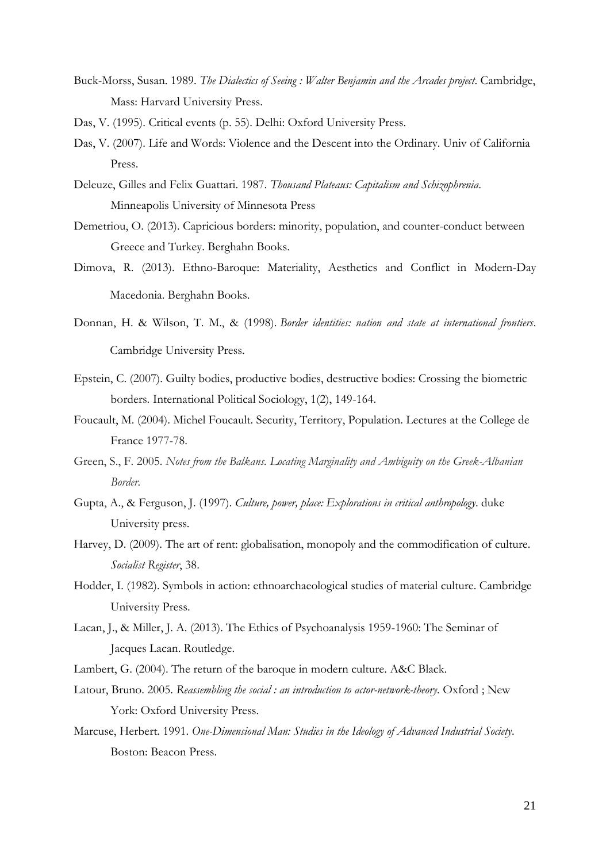- Buck-Morss, Susan. 1989. *The Dialectics of Seeing : Walter Benjamin and the Arcades project*. Cambridge, Mass: Harvard University Press.
- Das, V. (1995). Critical events (p. 55). Delhi: Oxford University Press.
- Das, V. (2007). Life and Words: Violence and the Descent into the Ordinary. Univ of California Press.
- Deleuze, Gilles and Felix Guattari. 1987. *Thousand Plateaus: Capitalism and Schizophrenia*. Minneapolis University of Minnesota Press
- Demetriou, O. (2013). Capricious borders: minority, population, and counter-conduct between Greece and Turkey. Berghahn Books.
- Dimova, R. (2013). Ethno-Baroque: Materiality, Aesthetics and Conflict in Modern-Day Macedonia. Berghahn Books.
- Donnan, H. & Wilson, T. M., & (1998). *Border identities: nation and state at international frontiers*. Cambridge University Press.
- Epstein, C. (2007). Guilty bodies, productive bodies, destructive bodies: Crossing the biometric borders. International Political Sociology, 1(2), 149-164.
- Foucault, M. (2004). Michel Foucault. Security, Territory, Population. Lectures at the College de France 1977-78.
- Green, S., F. 2005. *Notes from the Balkans. Locating Marginality and Ambiguity on the Greek-Albanian Border*.
- Gupta, A., & Ferguson, J. (1997). *Culture, power, place: Explorations in critical anthropology*. duke University press.
- Harvey, D. (2009). The art of rent: globalisation, monopoly and the commodification of culture. *Socialist Register*, 38.
- Hodder, I. (1982). Symbols in action: ethnoarchaeological studies of material culture. Cambridge University Press.
- Lacan, J., & Miller, J. A. (2013). The Ethics of Psychoanalysis 1959-1960: The Seminar of Jacques Lacan. Routledge.
- Lambert, G. (2004). The return of the baroque in modern culture. A&C Black.
- Latour, Bruno. 2005. *Reassembling the social : an introduction to actor-network-theory*. Oxford ; New York: Oxford University Press.
- Marcuse, Herbert. 1991. *One-Dimensional Man: Studies in the Ideology of Advanced Industrial Society*. Boston: Beacon Press.